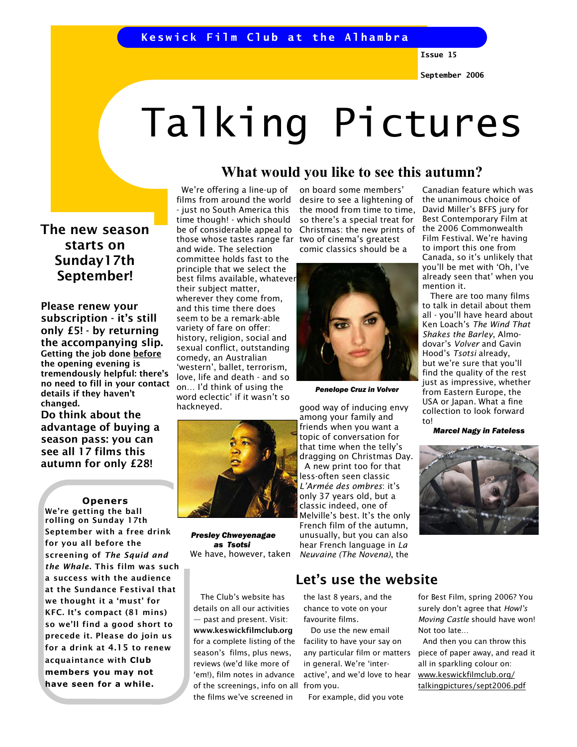# Talking Pictures

The new season starts on Sunday17th September!

Please renew your subscription - it's still only £5! - by returning the accompanying slip. Getting the job done before the opening evening is tremendously helpful: there's no need to fill in your contact details if they haven't changed.

Do think about the advantage of buying a season pass: you can see all 17 films this autumn for only £28!

#### **Openers**

We're getting the ball rolling on Sunday 17th September with a free drink for you all before the screening of The Squid and the Whale. This film was such a success with the audience at the Sundance Festival that we thought it a 'must' for KFC. It's compact (81 mins) so we'll find a good short to precede it. Please do join us for a drink at 4.15 to renew acquaintance with Club members you may not have seen for a while.

 We're offering a line-up of films from around the world - just no South America this time though! - which should be of considerable appeal to those whose tastes range far and wide. The selection committee holds fast to the principle that we select the best films available, whatever their subject matter, wherever they come from, and this time there does seem to be a remark-able variety of fare on offer: history, religion, social and sexual conflict, outstanding comedy, an Australian 'western', ballet, terrorism, love, life and death - and so on… I'd think of using the word eclectic' if it wasn't so hackneyed.



 Presley Chweyenagae as Tsotsi We have, however, taken

 The Club's website has details on all our activities — past and present. Visit: www.keswickfilmclub.org for a complete listing of the season's films, plus news, reviews (we'd like more of 'em!), film notes in advance of the screenings, info on all from you. the films we've screened in

on board some members' desire to see a lightening of the mood from time to time, so there's a special treat for Christmas: the new prints of two of cinema's greatest comic classics should be a

What would you like to see this autumn?



Penelope Cruz in Volver

good way of inducing envy among your family and friends when you want a topic of conversation for that time when the telly's dragging on Christmas Day. A new print too for that less-often seen classic L'Armée des ombres: it's only 37 years old, but a classic indeed, one of Melville's best. It's the only French film of the autumn, unusually, but you can also hear French language in La Neuvaine (The Novena), the

## Let's use the website

the last 8 years, and the chance to vote on your favourite films.

 Do use the new email facility to have your say on any particular film or matters in general. We're 'interactive', and we'd love to hear

For example, did you vote

Canadian feature which was the unanimous choice of David Miller's BFFS jury for Best Contemporary Film at the 2006 Commonwealth Film Festival. We're having to import this one from Canada, so it's unlikely that you'll be met with 'Oh, I've already seen that' when you mention it.

 There are too many films to talk in detail about them all - you'll have heard about Ken Loach's The Wind That Shakes the Barley, Almodovar's Volver and Gavin Hood's Tsotsi already, but we're sure that you'll find the quality of the rest just as impressive, whether from Eastern Europe, the USA or Japan. What a fine collection to look forward to!

Marcel Nagy in Fateless



for Best Film, spring 2006? You surely don't agree that Howl's Moving Castle should have won! Not too late…

 And then you can throw this piece of paper away, and read it all in sparkling colour on: www.keswickfilmclub.org/ talkingpictures/sept2006.pdf